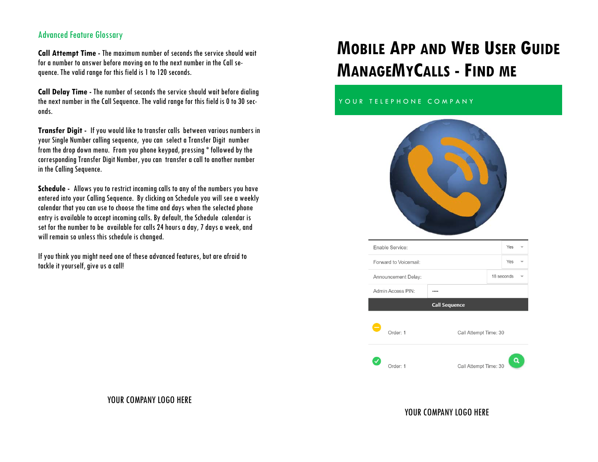#### Advanced Feature Glossary

**Call Attempt Time -** The maximum number of seconds the service should wait for a number to answer before moving on to the next number in the Call sequence. The valid range for this field is 1 to 120 seconds.

**Call Delay Time -** The number of seconds the service should wait before dialing the next number in the Call Sequence. The valid range for this field is 0 to 30 seconds.

**Transfer Digit -** If you would like to transfer calls between various numbers in your Single Number calling sequence, you can select a Transfer Digit number from the drop down menu. From you phone keypad, pressing \* followed by the corresponding Transfer Digit Number, you can transfer a call to another number in the Calling Sequence.

**Schedule -** Allows you to restrict incoming calls to any of the numbers you have entered into your Calling Sequence. By clicking on Schedule you will see a weekly calendar that you can use to choose the time and days when the selected phone entry is available to accept incoming calls. By default, the Schedule calendar is set for the number to be available for calls 24 hours a day, 7 days a week, and will remain so unless this schedule is changed.

If you think you might need one of these advanced features, but are afraid to tackle it yourself, give us a call!

# **MOBILE APP AND WEB USER GUIDE MANAGEMYCALLS - FIND ME**

#### YOUR TELEPHONE COMPANY



| Enable Service:       |                     |                      |                       |  |            |  |
|-----------------------|---------------------|----------------------|-----------------------|--|------------|--|
| Forward to Voicemail: |                     |                      |                       |  |            |  |
|                       | Announcement Delay: |                      |                       |  | 18 seconds |  |
|                       | Admin Access PIN:   |                      |                       |  |            |  |
|                       |                     | <b>Call Sequence</b> |                       |  |            |  |
|                       | Order: 1            |                      | Call Attempt Time: 30 |  |            |  |
|                       | Order: 1            |                      | Call Attempt Time: 30 |  |            |  |

#### YOUR COMPANY LOGO HERE

#### YOUR COMPANY LOGO HERE